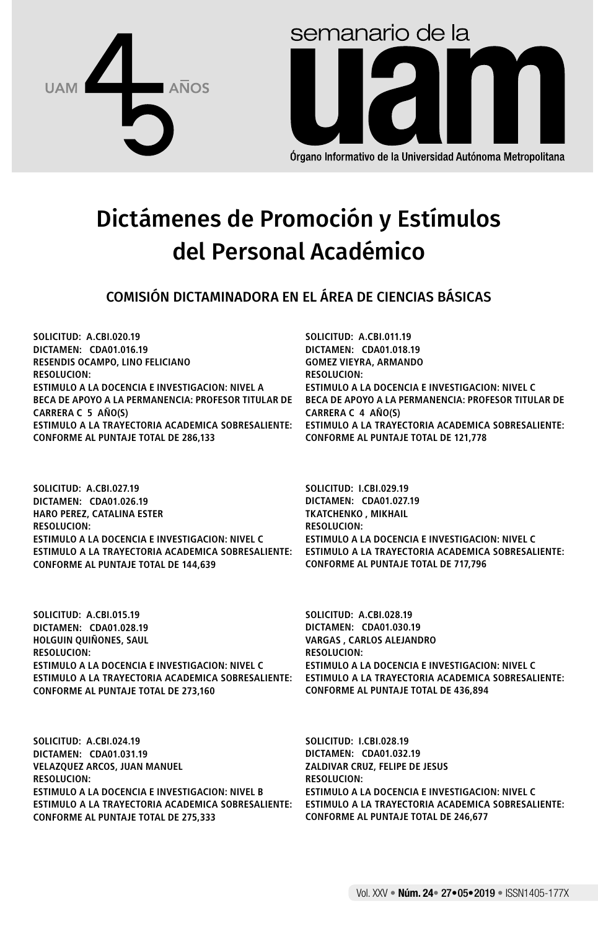



Órgano Informativo de la Universidad Autónoma Metropolitana

# Dictámenes de Promoción y Estímulos del Personal Académico

COMISIÓN DICTAMINADORA EN EL ÁREA DE CIENCIAS BÁSICAS

**SOLICITUD: A.CBI.020.19 DICTAMEN: CDA01.016.19 RESENDIS OCAMPO, LINO FELICIANO RESOLUCION: ESTIMULO A LA DOCENCIA E INVESTIGACION: NIVEL A BECA DE APOYO A LA PERMANENCIA: PROFESOR TITULAR DE CARRERA C 5 AÑO(S) ESTIMULO A LA TRAYECTORIA ACADEMICA SOBRESALIENTE: CONFORME AL PUNTAJE TOTAL DE 286,133**

**SOLICITUD: A.CBI.027.19 DICTAMEN: CDA01.026.19 HARO PEREZ, CATALINA ESTER RESOLUCION: ESTIMULO A LA DOCENCIA E INVESTIGACION: NIVEL C ESTIMULO A LA TRAYECTORIA ACADEMICA SOBRESALIENTE: CONFORME AL PUNTAJE TOTAL DE 144,639**

**SOLICITUD: A.CBI.011.19 DICTAMEN: CDA01.018.19 GOMEZ VIEYRA, ARMANDO RESOLUCION: ESTIMULO A LA DOCENCIA E INVESTIGACION: NIVEL C BECA DE APOYO A LA PERMANENCIA: PROFESOR TITULAR DE CARRERA C 4 AÑO(S) ESTIMULO A LA TRAYECTORIA ACADEMICA SOBRESALIENTE: CONFORME AL PUNTAJE TOTAL DE 121,778**

**SOLICITUD: I.CBI.029.19 DICTAMEN: CDA01.027.19 TKATCHENKO , MIKHAIL RESOLUCION: ESTIMULO A LA DOCENCIA E INVESTIGACION: NIVEL C ESTIMULO A LA TRAYECTORIA ACADEMICA SOBRESALIENTE: CONFORME AL PUNTAJE TOTAL DE 717,796**

**SOLICITUD: A.CBI.015.19 DICTAMEN: CDA01.028.19 HOLGUIN QUIÑONES, SAUL RESOLUCION: ESTIMULO A LA DOCENCIA E INVESTIGACION: NIVEL C ESTIMULO A LA TRAYECTORIA ACADEMICA SOBRESALIENTE: CONFORME AL PUNTAJE TOTAL DE 273,160**

**SOLICITUD: A.CBI.024.19 DICTAMEN: CDA01.031.19 VELAZQUEZ ARCOS, JUAN MANUEL RESOLUCION: ESTIMULO A LA DOCENCIA E INVESTIGACION: NIVEL B ESTIMULO A LA TRAYECTORIA ACADEMICA SOBRESALIENTE: CONFORME AL PUNTAJE TOTAL DE 275,333**

**SOLICITUD: A.CBI.028.19 DICTAMEN: CDA01.030.19 VARGAS , CARLOS ALEJANDRO RESOLUCION: ESTIMULO A LA DOCENCIA E INVESTIGACION: NIVEL C ESTIMULO A LA TRAYECTORIA ACADEMICA SOBRESALIENTE: CONFORME AL PUNTAJE TOTAL DE 436,894**

**SOLICITUD: I.CBI.028.19 DICTAMEN: CDA01.032.19 ZALDIVAR CRUZ, FELIPE DE JESUS RESOLUCION: ESTIMULO A LA DOCENCIA E INVESTIGACION: NIVEL C ESTIMULO A LA TRAYECTORIA ACADEMICA SOBRESALIENTE: CONFORME AL PUNTAJE TOTAL DE 246,677**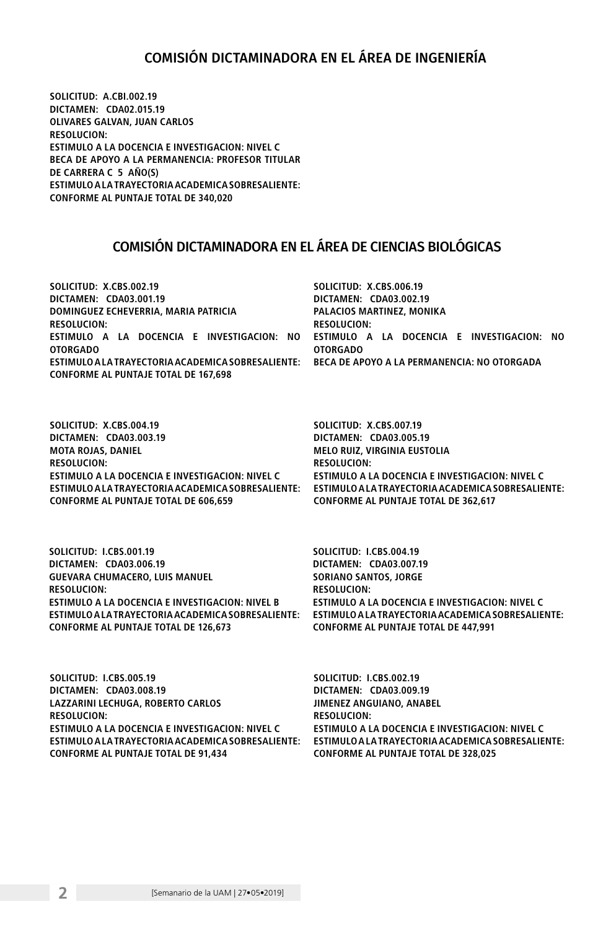#### COMISIÓN DICTAMINADORA EN EL ÁREA DE INGENIERÍA

**SOLICITUD: A.CBI.002.19 DICTAMEN: CDA02.015.19 OLIVARES GALVAN, JUAN CARLOS RESOLUCION: ESTIMULO A LA DOCENCIA E INVESTIGACION: NIVEL C BECA DE APOYO A LA PERMANENCIA: PROFESOR TITULAR DE CARRERA C 5 AÑO(S) ESTIMULO A LA TRAYECTORIA ACADEMICA SOBRESALIENTE: CONFORME AL PUNTAJE TOTAL DE 340,020**

#### COMISIÓN DICTAMINADORA EN EL ÁREA DE CIENCIAS BIOLÓGICAS

| SOLICITUD: X.CBS.002.19                                                                              | SOLICITUD: X.CBS.006.19   |
|------------------------------------------------------------------------------------------------------|---------------------------|
| DICTAMEN: CDA03.001.19                                                                               | DICTAMEN: CDA03.002.19    |
| DOMINGUEZ ECHEVERRIA. MARIA PATRICIA                                                                 | PALACIOS MARTINEZ, MONIKA |
| <b>RESOLUCION:</b>                                                                                   | <b>RESOLUCION:</b>        |
| ESTIMULO A LA DOCENCIA E INVESTIGACION: NO ESTIMULO A LA DOCENCIA E INVESTIGACION: NO                |                           |
| <b>OTORGADO</b>                                                                                      | <b>OTORGADO</b>           |
| ESTIMULO A LA TRAYECTORIA ACADEMICA SOBRESALIENTE:       BECA DE APOYO A LA PERMANENCIA: NO OTORGADA |                           |
| CONFORME AL PUNTAJE TOTAL DE 167.698                                                                 |                           |
|                                                                                                      |                           |

**SOLICITUD: X.CBS.004.19 DICTAMEN: CDA03.003.19 MOTA ROJAS, DANIEL RESOLUCION: ESTIMULO A LA DOCENCIA E INVESTIGACION: NIVEL C ESTIMULO A LA TRAYECTORIA ACADEMICA SOBRESALIENTE: CONFORME AL PUNTAJE TOTAL DE 606,659**

**SOLICITUD: X.CBS.007.19 DICTAMEN: CDA03.005.19 MELO RUIZ, VIRGINIA EUSTOLIA RESOLUCION: ESTIMULO A LA DOCENCIA E INVESTIGACION: NIVEL C ESTIMULO A LA TRAYECTORIA ACADEMICA SOBRESALIENTE: CONFORME AL PUNTAJE TOTAL DE 362,617**

**SOLICITUD: I.CBS.001.19 DICTAMEN: CDA03.006.19 GUEVARA CHUMACERO, LUIS MANUEL RESOLUCION: ESTIMULO A LA DOCENCIA E INVESTIGACION: NIVEL B ESTIMULO A LA TRAYECTORIA ACADEMICA SOBRESALIENTE: ESTIMULO A LA TRAYECTORIA ACADEMICA SOBRESALIENTE: CONFORME AL PUNTAJE TOTAL DE 126,673**

**SOLICITUD: I.CBS.004.19 DICTAMEN: CDA03.007.19 SORIANO SANTOS, JORGE RESOLUCION: ESTIMULO A LA DOCENCIA E INVESTIGACION: NIVEL C CONFORME AL PUNTAJE TOTAL DE 447,991**

**SOLICITUD: I.CBS.005.19 DICTAMEN: CDA03.008.19 LAZZARINI LECHUGA, ROBERTO CARLOS RESOLUCION: ESTIMULO A LA DOCENCIA E INVESTIGACION: NIVEL C ESTIMULO A LA TRAYECTORIA ACADEMICA SOBRESALIENTE: CONFORME AL PUNTAJE TOTAL DE 91,434**

**SOLICITUD: I.CBS.002.19 DICTAMEN: CDA03.009.19 JIMENEZ ANGUIANO, ANABEL RESOLUCION: ESTIMULO A LA DOCENCIA E INVESTIGACION: NIVEL C ESTIMULO A LA TRAYECTORIA ACADEMICA SOBRESALIENTE: CONFORME AL PUNTAJE TOTAL DE 328,025**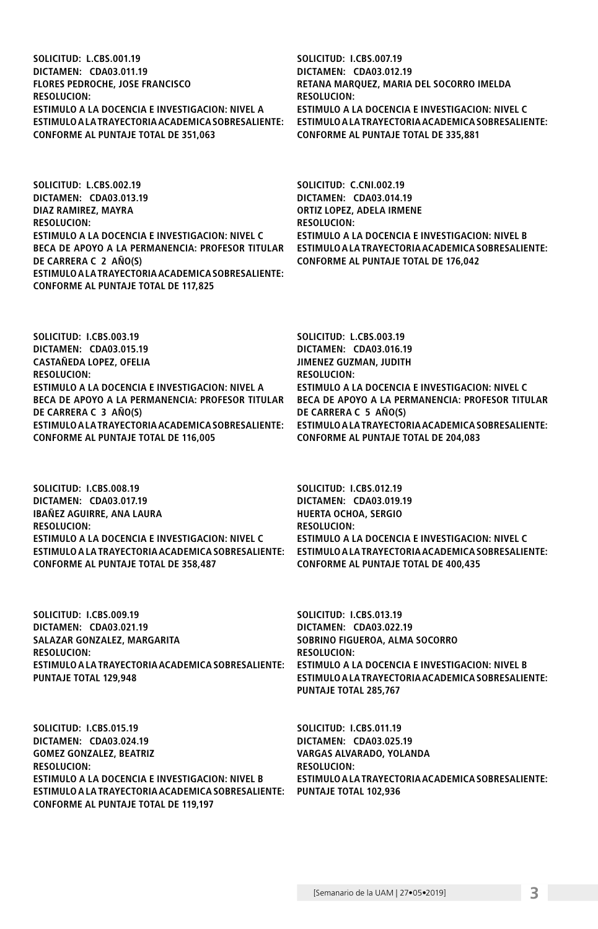**SOLICITUD: L.CBS.001.19 DICTAMEN: CDA03.011.19 FLORES PEDROCHE, JOSE FRANCISCO RESOLUCION: ESTIMULO A LA DOCENCIA E INVESTIGACION: NIVEL A ESTIMULO A LA TRAYECTORIA ACADEMICA SOBRESALIENTE: CONFORME AL PUNTAJE TOTAL DE 351,063**

**SOLICITUD: L.CBS.002.19 DICTAMEN: CDA03.013.19 DIAZ RAMIREZ, MAYRA RESOLUCION: ESTIMULO A LA DOCENCIA E INVESTIGACION: NIVEL C BECA DE APOYO A LA PERMANENCIA: PROFESOR TITULAR DE CARRERA C 2 AÑO(S) ESTIMULO A LA TRAYECTORIA ACADEMICA SOBRESALIENTE: CONFORME AL PUNTAJE TOTAL DE 117,825**

**SOLICITUD: I.CBS.003.19 DICTAMEN: CDA03.015.19 CASTAÑEDA LOPEZ, OFELIA RESOLUCION: ESTIMULO A LA DOCENCIA E INVESTIGACION: NIVEL A BECA DE APOYO A LA PERMANENCIA: PROFESOR TITULAR DE CARRERA C 3 AÑO(S) ESTIMULO A LA TRAYECTORIA ACADEMICA SOBRESALIENTE: CONFORME AL PUNTAJE TOTAL DE 116,005**

**SOLICITUD: I.CBS.008.19 DICTAMEN: CDA03.017.19 IBAÑEZ AGUIRRE, ANA LAURA RESOLUCION: ESTIMULO A LA DOCENCIA E INVESTIGACION: NIVEL C ESTIMULO A LA TRAYECTORIA ACADEMICA SOBRESALIENTE: CONFORME AL PUNTAJE TOTAL DE 358,487**

**SOLICITUD: I.CBS.009.19 DICTAMEN: CDA03.021.19 SALAZAR GONZALEZ, MARGARITA RESOLUCION: ESTIMULO A LA TRAYECTORIA ACADEMICA SOBRESALIENTE: PUNTAJE TOTAL 129,948**

**SOLICITUD: I.CBS.015.19 DICTAMEN: CDA03.024.19 GOMEZ GONZALEZ, BEATRIZ RESOLUCION: ESTIMULO A LA DOCENCIA E INVESTIGACION: NIVEL B ESTIMULO A LA TRAYECTORIA ACADEMICA SOBRESALIENTE: PUNTAJE TOTAL 102,936CONFORME AL PUNTAJE TOTAL DE 119,197**

**SOLICITUD: I.CBS.007.19 DICTAMEN: CDA03.012.19 RETANA MARQUEZ, MARIA DEL SOCORRO IMELDA RESOLUCION: ESTIMULO A LA DOCENCIA E INVESTIGACION: NIVEL C ESTIMULO A LA TRAYECTORIA ACADEMICA SOBRESALIENTE: CONFORME AL PUNTAJE TOTAL DE 335,881**

**SOLICITUD: C.CNI.002.19 DICTAMEN: CDA03.014.19 ORTIZ LOPEZ, ADELA IRMENE RESOLUCION: ESTIMULO A LA DOCENCIA E INVESTIGACION: NIVEL B ESTIMULO A LA TRAYECTORIA ACADEMICA SOBRESALIENTE: CONFORME AL PUNTAJE TOTAL DE 176,042**

**SOLICITUD: L.CBS.003.19 DICTAMEN: CDA03.016.19 JIMENEZ GUZMAN, JUDITH RESOLUCION: ESTIMULO A LA DOCENCIA E INVESTIGACION: NIVEL C BECA DE APOYO A LA PERMANENCIA: PROFESOR TITULAR DE CARRERA C 5 AÑO(S) ESTIMULO A LA TRAYECTORIA ACADEMICA SOBRESALIENTE: CONFORME AL PUNTAJE TOTAL DE 204,083**

**SOLICITUD: I.CBS.012.19 DICTAMEN: CDA03.019.19 HUERTA OCHOA, SERGIO RESOLUCION: ESTIMULO A LA DOCENCIA E INVESTIGACION: NIVEL C ESTIMULO A LA TRAYECTORIA ACADEMICA SOBRESALIENTE: CONFORME AL PUNTAJE TOTAL DE 400,435**

**SOLICITUD: I.CBS.013.19 DICTAMEN: CDA03.022.19 SOBRINO FIGUEROA, ALMA SOCORRO RESOLUCION: ESTIMULO A LA DOCENCIA E INVESTIGACION: NIVEL B ESTIMULO A LA TRAYECTORIA ACADEMICA SOBRESALIENTE: PUNTAJE TOTAL 285,767**

**SOLICITUD: I.CBS.011.19 DICTAMEN: CDA03.025.19 VARGAS ALVARADO, YOLANDA RESOLUCION: ESTIMULO A LA TRAYECTORIA ACADEMICA SOBRESALIENTE:**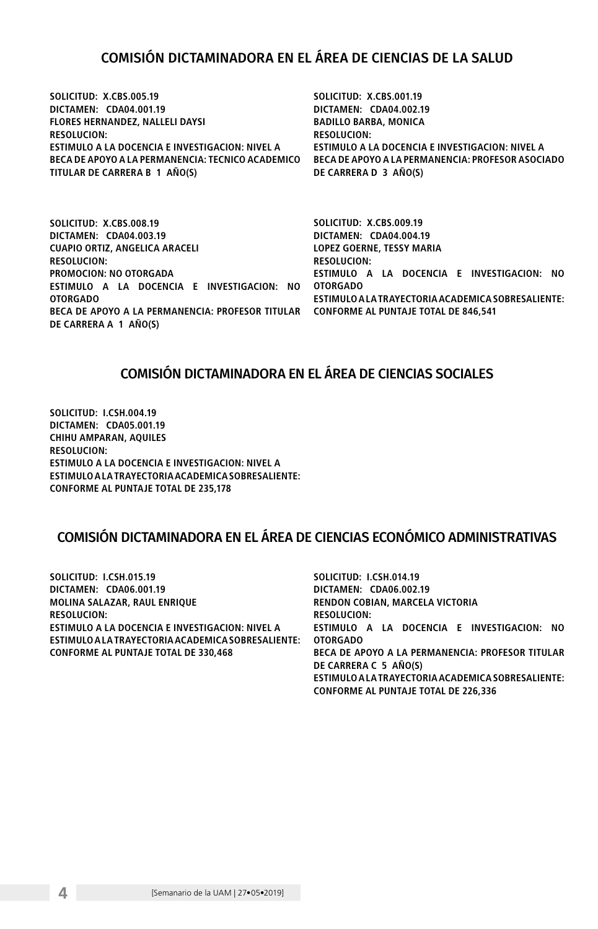### COMISIÓN DICTAMINADORA EN EL ÁREA DE CIENCIAS DE LA SALUD

**SOLICITUD: X.CBS.005.19 DICTAMEN: CDA04.001.19 FLORES HERNANDEZ, NALLELI DAYSI RESOLUCION: ESTIMULO A LA DOCENCIA E INVESTIGACION: NIVEL A BECA DE APOYO A LA PERMANENCIA: TECNICO ACADEMICO BECA DE APOYO A LA PERMANENCIA: PROFESOR ASOCIADO TITULAR DE CARRERA B 1 AÑO(S)**

**SOLICITUD: X.CBS.001.19 DICTAMEN: CDA04.002.19 BADILLO BARBA, MONICA RESOLUCION: ESTIMULO A LA DOCENCIA E INVESTIGACION: NIVEL A DE CARRERA D 3 AÑO(S)**

**SOLICITUD: X.CBS.008.19 DICTAMEN: CDA04.003.19 CUAPIO ORTIZ, ANGELICA ARACELI RESOLUCION: PROMOCION: NO OTORGADA ESTIMULO A LA DOCENCIA E INVESTIGACION: NO OTORGADO OTORGADO BECA DE APOYO A LA PERMANENCIA: PROFESOR TITULAR CONFORME AL PUNTAJE TOTAL DE 846,541 DE CARRERA A 1 AÑO(S)**

**SOLICITUD: X.CBS.009.19 DICTAMEN: CDA04.004.19 LOPEZ GOERNE, TESSY MARIA RESOLUCION: ESTIMULO A LA DOCENCIA E INVESTIGACION: NO ESTIMULO A LA TRAYECTORIA ACADEMICA SOBRESALIENTE:** 

#### COMISIÓN DICTAMINADORA EN EL ÁREA DE CIENCIAS SOCIALES

**SOLICITUD: I.CSH.004.19 DICTAMEN: CDA05.001.19 CHIHU AMPARAN, AQUILES RESOLUCION: ESTIMULO A LA DOCENCIA E INVESTIGACION: NIVEL A ESTIMULO A LA TRAYECTORIA ACADEMICA SOBRESALIENTE: CONFORME AL PUNTAJE TOTAL DE 235,178**

## COMISIÓN DICTAMINADORA EN EL ÁREA DE CIENCIAS ECONÓMICO ADMINISTRATIVAS

| SOLICITUD: I.CSH.015.19                            | SOLICITUD: I.CSH.014.19                            |
|----------------------------------------------------|----------------------------------------------------|
| DICTAMEN: CDA06.001.19                             | DICTAMEN: CDA06.002.19                             |
| MOLINA SALAZAR, RAUL ENRIOUE                       | RENDON COBIAN, MARCELA VICTORIA                    |
| <b>RESOLUCION:</b>                                 | <b>RESOLUCION:</b>                                 |
| ESTIMULO A LA DOCENCIA E INVESTIGACION: NIVEL A    | ESTIMULO A LA DOCENCIA E INVESTIGACION: NO         |
| ESTIMULO A LA TRAYECTORIA ACADEMICA SOBRESALIENTE: | <b>OTORGADO</b>                                    |
| <b>CONFORME AL PUNTAJE TOTAL DE 330.468</b>        | BECA DE APOYO A LA PERMANENCIA: PROFESOR TITULAR   |
|                                                    | DE CARRERA C 5 AÑO(S)                              |
|                                                    | ESTIMULO A LA TRAYECTORIA ACADEMICA SOBRESALIENTE: |

**CONFORME AL PUNTAJE TOTAL DE 226,336**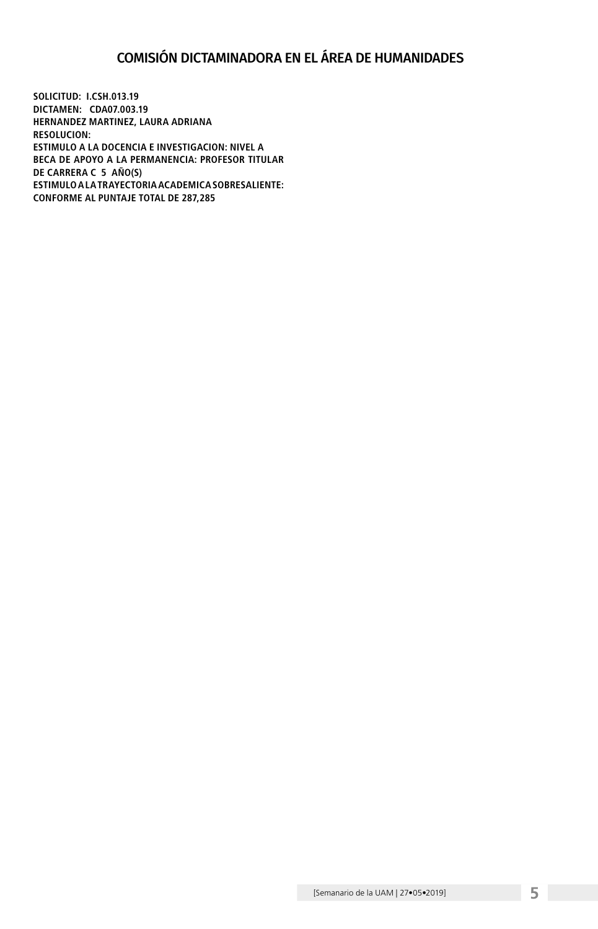## COMISIÓN DICTAMINADORA EN EL ÁREA DE HUMANIDADES

**SOLICITUD: I.CSH.013.19 DICTAMEN: CDA07.003.19 HERNANDEZ MARTINEZ, LAURA ADRIANA RESOLUCION: ESTIMULO A LA DOCENCIA E INVESTIGACION: NIVEL A BECA DE APOYO A LA PERMANENCIA: PROFESOR TITULAR DE CARRERA C 5 AÑO(S) ESTIMULO A LA TRAYECTORIA ACADEMICA SOBRESALIENTE: CONFORME AL PUNTAJE TOTAL DE 287,285**